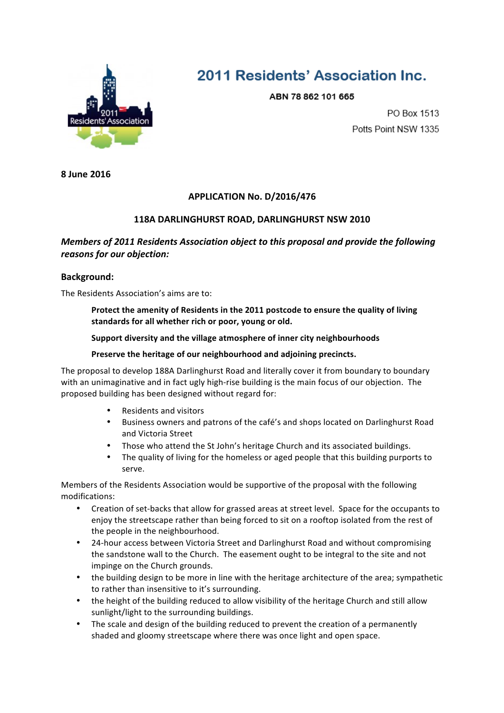

# 2011 Residents' Association Inc.

ABN 78 862 101 665

PO Box 1513 Potts Point NSW 1335

**8 June 2016**

# **APPLICATION No. D/2016/476**

## **118A DARLINGHURST ROAD, DARLINGHURST NSW 2010**

# *Members of 2011 Residents Association object to this proposal and provide the following reasons for our objection:*

## **Background:**

The Residents Association's aims are to:

Protect the amenity of Residents in the 2011 postcode to ensure the quality of living standards for all whether rich or poor, young or old.

#### **Support diversity and the village atmosphere of inner city neighbourhoods**

#### Preserve the heritage of our neighbourhood and adjoining precincts.

The proposal to develop 188A Darlinghurst Road and literally cover it from boundary to boundary with an unimaginative and in fact ugly high-rise building is the main focus of our objection. The proposed building has been designed without regard for:

- Residents and visitors
- Business owners and patrons of the café's and shops located on Darlinghurst Road and Victoria Street
- Those who attend the St John's heritage Church and its associated buildings.
- The quality of living for the homeless or aged people that this building purports to serve.

Members of the Residents Association would be supportive of the proposal with the following modifications: 

- Creation of set-backs that allow for grassed areas at street level. Space for the occupants to enjoy the streetscape rather than being forced to sit on a rooftop isolated from the rest of the people in the neighbourhood.
- 24-hour access between Victoria Street and Darlinghurst Road and without compromising the sandstone wall to the Church. The easement ought to be integral to the site and not impinge on the Church grounds.
- the building design to be more in line with the heritage architecture of the area; sympathetic to rather than insensitive to it's surrounding.
- the height of the building reduced to allow visibility of the heritage Church and still allow sunlight/light to the surrounding buildings.
- The scale and design of the building reduced to prevent the creation of a permanently shaded and gloomy streetscape where there was once light and open space.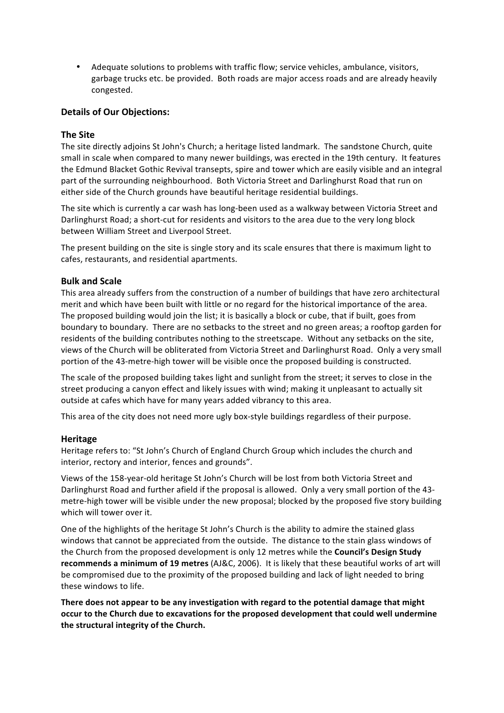• Adequate solutions to problems with traffic flow; service vehicles, ambulance, visitors, garbage trucks etc. be provided. Both roads are major access roads and are already heavily congested. 

### **Details of Our Objections:**

#### **The Site**

The site directly adioins St John's Church; a heritage listed landmark. The sandstone Church, quite small in scale when compared to many newer buildings, was erected in the 19th century. It features the Edmund Blacket Gothic Revival transepts, spire and tower which are easily visible and an integral part of the surrounding neighbourhood. Both Victoria Street and Darlinghurst Road that run on either side of the Church grounds have beautiful heritage residential buildings.

The site which is currently a car wash has long-been used as a walkway between Victoria Street and Darlinghurst Road; a short-cut for residents and visitors to the area due to the very long block between William Street and Liverpool Street.

The present building on the site is single story and its scale ensures that there is maximum light to cafes, restaurants, and residential apartments.

#### **Bulk and Scale**

This area already suffers from the construction of a number of buildings that have zero architectural merit and which have been built with little or no regard for the historical importance of the area. The proposed building would join the list; it is basically a block or cube, that if built, goes from boundary to boundary. There are no setbacks to the street and no green areas; a rooftop garden for residents of the building contributes nothing to the streetscape. Without any setbacks on the site, views of the Church will be obliterated from Victoria Street and Darlinghurst Road. Only a very small portion of the 43-metre-high tower will be visible once the proposed building is constructed.

The scale of the proposed building takes light and sunlight from the street; it serves to close in the street producing a canyon effect and likely issues with wind; making it unpleasant to actually sit outside at cafes which have for many years added vibrancy to this area.

This area of the city does not need more ugly box-style buildings regardless of their purpose.

#### **Heritage**

Heritage refers to: "St John's Church of England Church Group which includes the church and interior, rectory and interior, fences and grounds".

Views of the 158-year-old heritage St John's Church will be lost from both Victoria Street and Darlinghurst Road and further afield if the proposal is allowed. Only a very small portion of the 43metre-high tower will be visible under the new proposal; blocked by the proposed five story building which will tower over it.

One of the highlights of the heritage St John's Church is the ability to admire the stained glass windows that cannot be appreciated from the outside. The distance to the stain glass windows of the Church from the proposed development is only 12 metres while the **Council's Design Study** recommends a minimum of 19 metres (AJ&C, 2006). It is likely that these beautiful works of art will be compromised due to the proximity of the proposed building and lack of light needed to bring these windows to life.

There does not appear to be any investigation with regard to the potential damage that might occur to the Church due to excavations for the proposed development that could well undermine the structural integrity of the Church.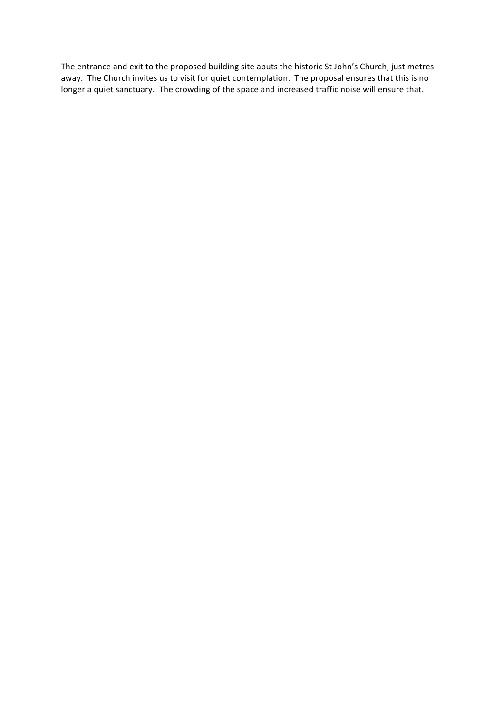The entrance and exit to the proposed building site abuts the historic St John's Church, just metres away. The Church invites us to visit for quiet contemplation. The proposal ensures that this is no longer a quiet sanctuary. The crowding of the space and increased traffic noise will ensure that.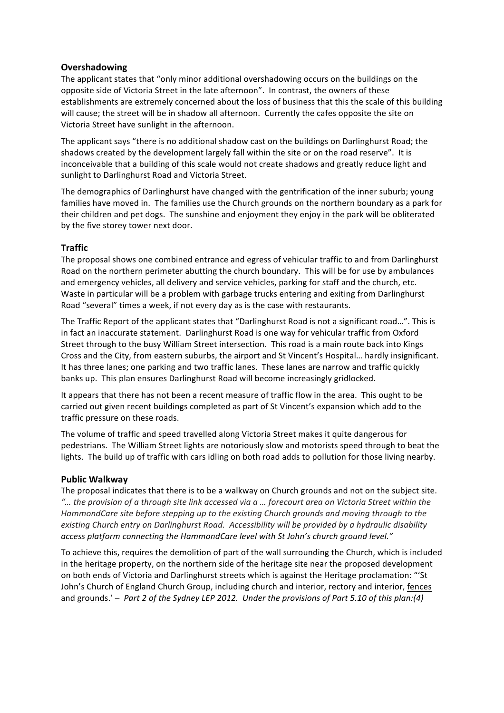## **Overshadowing**

The applicant states that "only minor additional overshadowing occurs on the buildings on the opposite side of Victoria Street in the late afternoon". In contrast, the owners of these establishments are extremely concerned about the loss of business that this the scale of this building will cause; the street will be in shadow all afternoon. Currently the cafes opposite the site on Victoria Street have sunlight in the afternoon.

The applicant says "there is no additional shadow cast on the buildings on Darlinghurst Road; the shadows created by the development largely fall within the site or on the road reserve". It is inconceivable that a building of this scale would not create shadows and greatly reduce light and sunlight to Darlinghurst Road and Victoria Street.

The demographics of Darlinghurst have changed with the gentrification of the inner suburb; young families have moved in. The families use the Church grounds on the northern boundary as a park for their children and pet dogs. The sunshine and enjoyment they enjoy in the park will be obliterated by the five storey tower next door.

#### **Traffic**

The proposal shows one combined entrance and egress of vehicular traffic to and from Darlinghurst Road on the northern perimeter abutting the church boundary. This will be for use by ambulances and emergency vehicles, all delivery and service vehicles, parking for staff and the church, etc. Waste in particular will be a problem with garbage trucks entering and exiting from Darlinghurst Road "several" times a week, if not every day as is the case with restaurants.

The Traffic Report of the applicant states that "Darlinghurst Road is not a significant road...". This is in fact an inaccurate statement. Darlinghurst Road is one way for vehicular traffic from Oxford Street through to the busy William Street intersection. This road is a main route back into Kings Cross and the City, from eastern suburbs, the airport and St Vincent's Hospital... hardly insignificant. It has three lanes; one parking and two traffic lanes. These lanes are narrow and traffic quickly banks up. This plan ensures Darlinghurst Road will become increasingly gridlocked.

It appears that there has not been a recent measure of traffic flow in the area. This ought to be carried out given recent buildings completed as part of St Vincent's expansion which add to the traffic pressure on these roads.

The volume of traffic and speed travelled along Victoria Street makes it quite dangerous for pedestrians. The William Street lights are notoriously slow and motorists speed through to beat the lights. The build up of traffic with cars idling on both road adds to pollution for those living nearby.

#### **Public Walkway**

The proposal indicates that there is to be a walkway on Church grounds and not on the subject site. *"… the provision of a through site link accessed via a … forecourt area on Victoria Street within the*  HammondCare site before stepping up to the existing Church grounds and moving through to the existing Church entry on Darlinghurst Road. Accessibility will be provided by a hydraulic disability access platform connecting the HammondCare level with St John's church ground level."

To achieve this, requires the demolition of part of the wall surrounding the Church, which is included in the heritage property, on the northern side of the heritage site near the proposed development on both ends of Victoria and Darlinghurst streets which is against the Heritage proclamation: "'St John's Church of England Church Group, including church and interior, rectory and interior, fences and grounds.' – *Part 2 of the Sydney LEP 2012. Under the provisions of Part 5.10 of this plan:(4)*